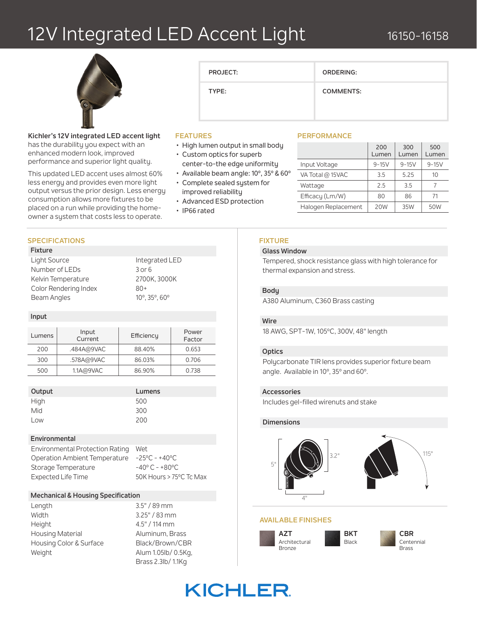## 12V Integrated LED Accent Light



### **Kichler's 12V integrated LED accent light**

has the durability you expect with an enhanced modern look, improved performance and superior light quality.

This updated LED accent uses almost 60% less energy and provides even more light output versus the prior design. Less energy consumption allows more fixtures to be placed on a run while providing the homeowner a system that costs less to operate.

#### **FEATURES**

- High lumen output in small body
- Custom optics for superb center-to-the edge uniformity

**PROJECT:**

**TYPE:**

- Available beam angle: 10º, 35º & 60º
- Complete sealed system for
- improved reliability
- Advanced ESD protection
- IP66 rated

#### **SPECIFICATIONS**

#### **Fixture**

| Light Source          | Inte           |
|-----------------------|----------------|
| Number of LEDs        | 3 or           |
| Kelvin Temperature    | 270            |
| Color Rendering Index | $80+$          |
| Beam Angles           | $10^{\circ}$ . |

 $3$  or  $6$ 2700K, 3000K 10°, 35°, 60°

Integrated LED

#### **Input**

| Lumens | Input<br>Current | Efficiency | Power<br>Factor |
|--------|------------------|------------|-----------------|
| 200    | .484A@9VAC       | 88.40%     | 0.653           |
| 300    | .578A@9VAC       | 86.03%     | 0.706           |
| 500    | 1.1A@9VAC        | 86.90%     | 0.738           |

| Output | Lum |
|--------|-----|
| High   | 500 |
| Mid    | 300 |
| $\sim$ | 200 |

### **Lumens**

Low 200

#### **Environmental**

Environmental Protection Rating Wet Operation Ambient Temperature -25ºC - +40ºC Storage Temperature -40°C - +80°C Expected Life Time 50K Hours > 75°C Tc Max

#### **Mechanical & Housing Specification**

| Length                  |
|-------------------------|
| Width                   |
| Height                  |
| <b>Housing Material</b> |
| Housing Color & Surface |
| Weight                  |
|                         |

 $3.5" / 89$  mm  $3.25" / 83$  mm 4.5" / 114 mm Aluminum, Brass Black/Brown/CBR Alum 1.05lb/ 0.5Kg, Brass 2.3lb/ 1.1Kg

#### **PERFORMANCE**

**ORDERING:**

**COMMENTS:**

|                     | 200<br>Lumen | 300<br>Lumen | 500<br>Lumen |
|---------------------|--------------|--------------|--------------|
| Input Voltage       | $9 - 15V$    | $9 - 15V$    | $9 - 15V$    |
| VA Total @ 15VAC    | 35           | 5.25         | 10           |
| Wattage             | 2.5          | 3.5          |              |
| Efficacy (Lm/W)     | 80           | 86           | 71           |
| Halogen Replacement | 20W          | 35W          | 50W          |

#### **FIXTURE**

#### **Glass Window**

Tempered, shock resistance glass with high tolerance for thermal expansion and stress.

#### **Body**

A380 Aluminum, C360 Brass casting

#### **Wire**

18 AWG, SPT-1W, 105ºC, 300V, 48" length

#### **Optics**

Polycarbonate TIR lens provides superior fixture beam angle. Available in 10º, 35º and 60º.

#### **Accessories**

Includes gel-filled wirenuts and stake

#### **Dimensions**



#### **AVAILABLE FINISHES**





## **KICHLER**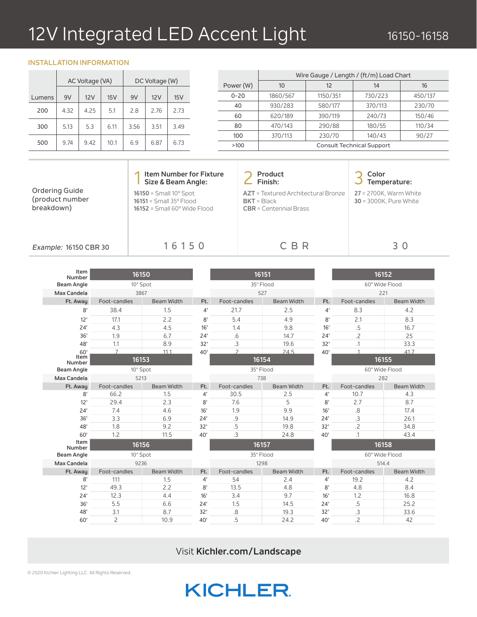# 12V Integrated LED Accent Light

#### **INSTALLATION INFORMATION**

**COLLECT** 

|        | AC Voltage (VA) |      |      | DC Voltage (W) |      |      |
|--------|-----------------|------|------|----------------|------|------|
| Lumens | 9V              | 12V  | 15V  | 9V             | 12V  | 15V  |
| 200    | 4.32            | 4.25 | 5.1  | 2.8            | 2.76 | 2.73 |
| 300    | 5.13            | 5.3  | 6.11 | 3.56           | 3.51 | 3.49 |
| 500    | 9.74            | 9.42 | 10.1 | 6.9            | 6.87 | 6.73 |

|           | Wire Gauge / Length / (ft/m) Load Chart |          |                                  |         |  |
|-----------|-----------------------------------------|----------|----------------------------------|---------|--|
| Power (W) | 10                                      | 12       | 14                               | 16      |  |
| $0 - 20$  | 1860/567                                | 1150/351 | 730/223                          | 450/137 |  |
| 40        | 930/283                                 | 580/177  | 370/113                          | 230/70  |  |
| 60        | 620/189                                 | 390/119  | 240/73                           | 150/46  |  |
| 80        | 470/143                                 | 290/88   | 180/55                           | 110/34  |  |
| 100       | 370/113                                 | 230/70   | 140/43                           | 90/27   |  |
| >100      |                                         |          | <b>Consult Technical Support</b> |         |  |

|                                                 | <b>Item Number for Fixture</b><br>Size & Beam Angle:                                                              | <b>Product</b><br>Finish:                                                               | Color<br>Temperature:                                          |
|-------------------------------------------------|-------------------------------------------------------------------------------------------------------------------|-----------------------------------------------------------------------------------------|----------------------------------------------------------------|
| Ordering Guide<br>(product number<br>breakdown) | $16150 =$ Small $10^{\circ}$ Spot<br>$16151 = Small 35^{\circ}$ Flood<br>$16152$ = Small 60 $^{\circ}$ Wide Flood | <b>AZT</b> = Textured Architectural Bronze<br>$BKT = Black$<br>$CBR = Centennial Brass$ | <b>27</b> = 2700K, Warm White<br><b>30</b> = 3000K, Pure White |
| Example: 16150 CBR 30                           | 16150                                                                                                             | C B R                                                                                   | 30                                                             |
| <b>Identified</b>                               |                                                                                                                   |                                                                                         |                                                                |

| Item<br>Number    | 16150          |                   | 16151       |                |                   | 16152       |                |                   |
|-------------------|----------------|-------------------|-------------|----------------|-------------------|-------------|----------------|-------------------|
| <b>Beam Angle</b> | 10° Spot       |                   |             | 35° Flood      |                   |             | 60° Wide Flood |                   |
| Max Candela       | 3867           |                   |             |                | 527               |             |                | 221               |
| Ft. Away          | Foot-candles   | <b>Beam Width</b> | Ft.         | Foot-candles   | <b>Beam Width</b> | Ft.         | Foot-candles   | <b>Beam Width</b> |
| 8'                | 38.4           | 1.5               | $4^{\circ}$ | 21.7           | 2.5               | $4^{\circ}$ | 8.3            | 4.2               |
| 12'               | 17.1           | 2.2               | 8'          | 5.4            | 4.9               | 8'          | 2.1            | 8.3               |
| 24'               | 4.3            | 4.5               | 16'         | 1.4            | 9.8               | 16'         | .5             | 16.7              |
| 36'               | 1.9            | 6.7               | 24'         | $.6\,$         | 14.7              | 24'         | .2             | 25                |
| 48'               | 1.1            | 8.9               | 32'         | .3             | 19.6              | 32'         | $\cdot$ 1      | 33.3              |
| 60'               | $\overline{7}$ | 11.1              | 40'         | $\mathcal{P}$  | 245               | 40'         | $\overline{1}$ | 41.7              |
| Item<br>Number    | 16153          |                   |             |                | 16154             |             | 16155          |                   |
| <b>Beam Angle</b> | 10° Spot       |                   |             | 35° Flood      |                   |             | 60° Wide Flood |                   |
| Max Candela       | 5213           |                   |             | 738            |                   |             | 282            |                   |
| Ft. Away          | Foot-candles   | <b>Beam Width</b> | Ft.         | Foot-candles   | <b>Beam Width</b> | Ft.         | Foot-candles   | <b>Beam Width</b> |
| 8'                | 66.2           | 1.5               | $4^{\circ}$ | 30.5           | 2.5               | 4'          | 10.7           | 4.3               |
| 12'               | 29.4           | 2.3               | 8'          | 7.6            | 5                 | 8'          | 2.7            | 8.7               |
| 24'               | 7.4            | 4.6               | 16'         | 1.9            | 9.9               | 16'         | .8             | 17.4              |
| 36'               | 3.3            | 6.9               | 24'         | .9             | 14.9              | 24'         | .3             | 26.1              |
| 48'               | 1.8            | 9.2               | 32'         | .5             | 19.8              | 32'         | $.2\,$         | 34.8              |
| 60'               | 1.2            | 11.5              | 40'         | $\overline{3}$ | 24.8              | 40'         | $\cdot$ 1      | 43.4              |
| Item<br>Number    | 16156          |                   |             | 16157          |                   |             | 16158          |                   |
| <b>Beam Angle</b> | 10° Spot       |                   |             | 35° Flood      |                   |             | 60° Wide Flood |                   |
| Max Candela       | 9236           |                   |             | 1298           |                   |             | 514.4          |                   |
| Ft. Away          | Foot-candles   | <b>Beam Width</b> | Ft.         | Foot-candles   | <b>Beam Width</b> | Ft.         | Foot-candles   | <b>Beam Width</b> |
| 8'                | 111            | 1.5               | 4'          | 54             | 2.4               | 4'          | 19.2           | 4.2               |
| 12'               | 49.3           | 2.2               | 8'          | 13.5           | 4.8               | 8'          | 4.8            | 8.4               |
| 24'               | 12.3           | 4.4               | 16'         | 3.4            | 9.7               | 16'         | 1.2            | 16.8              |
| 36'               | 5.5            | 6.6               | 24'         | 1.5            | 14.5              | 24'         | .5             | 25.2              |
| 48'               | 3.1            | 8.7               | 32'         | .8             | 19.3              | 32'         | $\cdot$ 3      | 33.6              |
| 60'               | 2              | 10.9              | 40'         | .5             | 24.2              | 40'         | .2             | 42                |

Visit **Kichler.com/Landscape**

## **KICHLER**